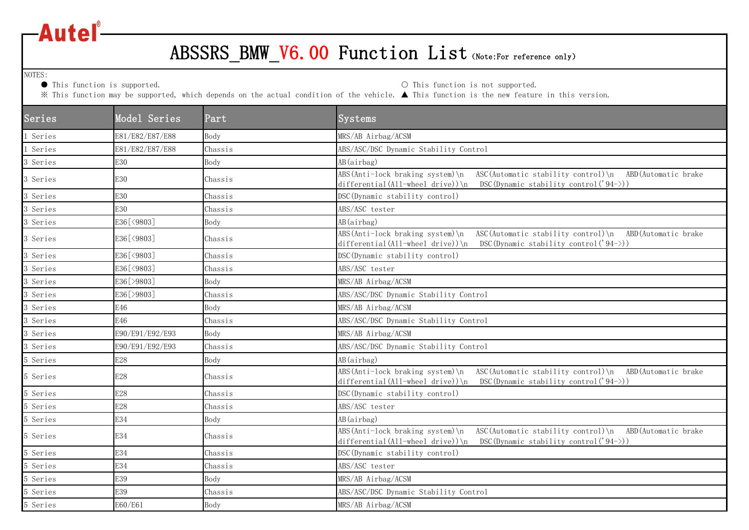

## ABSSRS\_BMW\_V6.00 Function List (Note:For reference only)

NOTES:<br>
• This function is supported.

O This function is not supported.

※ This function may be supported, which depends on the actual condition of the vehicle. ▲ This function is the new feature in this version.

| Series   | Model Series    | Part    | Systems                                                                                                                                                                       |
|----------|-----------------|---------|-------------------------------------------------------------------------------------------------------------------------------------------------------------------------------|
| Series   | E81/E82/E87/E88 | Body    | MRS/AB Airbag/ACSM                                                                                                                                                            |
| Series   | E81/E82/E87/E88 | Chassis | ABS/ASC/DSC Dynamic Stability Control                                                                                                                                         |
| Series   | E30             | Body    | AB(airbag)                                                                                                                                                                    |
| 3 Series | E30             | Chassis | ABS(Anti-lock braking system)\n<br>ASC (Automatic stability control) \n ABD (Automatic brake<br>differential (All-wheel drive)) \n DSC (Dynamic stability control $('94-))$ ) |
| Series   | E30             | Chassis | DSC (Dynamic stability control)                                                                                                                                               |
| Series   | E30             | Chassis | ABS/ASC tester                                                                                                                                                                |
| Series   | E36[<9803]      | Body    | AB(airbag)                                                                                                                                                                    |
| 3 Series | E36[<9803]      | Chassis | ABS(Anti-lock braking system)\n<br>ASC (Automatic stability control) \n ABD (Automatic brake<br>differential (All-wheel drive)) \n DSC (Dynamic stability control ('94->))    |
| Series   | E36[<9803]      | Chassis | DSC (Dynamic stability control)                                                                                                                                               |
| Series   | E36[<9803]      | Chassis | ABS/ASC tester                                                                                                                                                                |
| Series   | E36[>9803]      | Body    | MRS/AB Airbag/ACSM                                                                                                                                                            |
| Series   | E36 [>9803]     | Chassis | ABS/ASC/DSC Dynamic Stability Control                                                                                                                                         |
| Series   | E46             | Body    | MRS/AB Airbag/ACSM                                                                                                                                                            |
| Series   | E46             | Chassis | ABS/ASC/DSC Dynamic Stability Control                                                                                                                                         |
| Series   | E90/E91/E92/E93 | Body    | MRS/AB Airbag/ACSM                                                                                                                                                            |
| Series   | E90/E91/E92/E93 | Chassis | ABS/ASC/DSC Dynamic Stability Control                                                                                                                                         |
| 5 Series | E28             | Body    | AB(airbag)                                                                                                                                                                    |
| 5 Series | E28             | Chassis | ABS(Anti-lock braking system)\n ASC(Automatic stability control)\n<br>ABD(Automatic brake<br>differential (All-wheel drive)) \n DSC (Dynamic stability control $('94-))$ )    |
| 5 Series | E28             | Chassis | DSC (Dynamic stability control)                                                                                                                                               |
| Series   | E28             | Chassis | ABS/ASC tester                                                                                                                                                                |
| 5 Series | E34             | Body    | AB(airbag)                                                                                                                                                                    |
| 5 Series | E34             | Chassis | ABS(Anti-lock braking system)\n ASC(Automatic stability control)\n ABD(Automatic brake<br>differential (All-wheel drive)) \n DSC (Dynamic stability control $('94-))$         |
| 5 Series | E34             | Chassis | DSC (Dynamic stability control)                                                                                                                                               |
| 5 Series | E34             | Chassis | ABS/ASC tester                                                                                                                                                                |
| 5 Series | E39             | Body    | MRS/AB Airbag/ACSM                                                                                                                                                            |
| 5 Series | E39             | Chassis | ABS/ASC/DSC Dynamic Stability Control                                                                                                                                         |
| 5 Series | E60/E61         | Body    | MRS/AB Airbag/ACSM                                                                                                                                                            |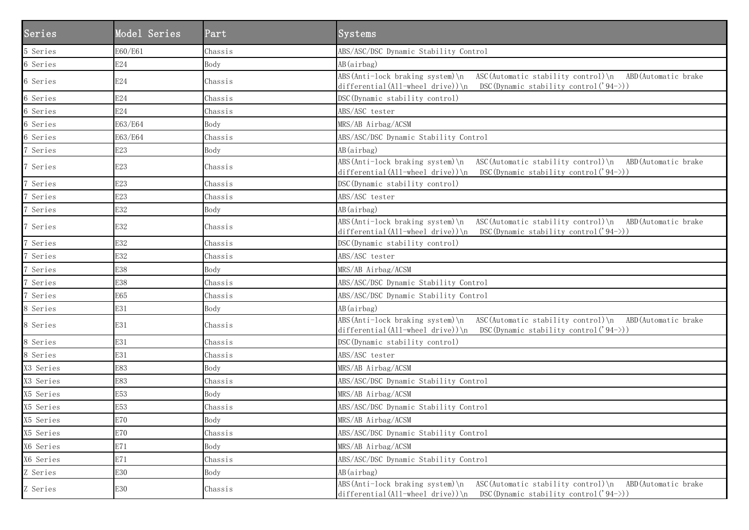| Series    | Model Series | Part    | <b>Systems</b>                                                                                                                                                                           |
|-----------|--------------|---------|------------------------------------------------------------------------------------------------------------------------------------------------------------------------------------------|
| 5 Series  | E60/E61      | Chassis | ABS/ASC/DSC Dynamic Stability Control                                                                                                                                                    |
| 6 Series  | E24          | Body    | AB(airbag)                                                                                                                                                                               |
| 6 Series  | E24          | Chassis | ABS(Anti-lock braking system)\n<br>ASC (Automatic stability control) \n ABD (Automatic brake<br>differential (All-wheel drive)) \n                DSC (Dynamic stability control('94->)) |
| 6 Series  | E24          | Chassis | DSC (Dynamic stability control)                                                                                                                                                          |
| 6 Series  | E24          | Chassis | ABS/ASC tester                                                                                                                                                                           |
| 6 Series  | E63/E64      | Body    | MRS/AB Airbag/ACSM                                                                                                                                                                       |
| 6 Series  | E63/E64      | Chassis | ABS/ASC/DSC Dynamic Stability Control                                                                                                                                                    |
| Series    | E23          | Body    | AB(airbag)                                                                                                                                                                               |
| Series    | E23          | Chassis | ASC (Automatic stability control) \n ABD (Automatic brake<br>$ABS(Anti-lock\ braking\ system) \n\$<br>differential (All-wheel drive)) \n  DSC (Dynamic stability control $('94-))$ )     |
| Series    | E23          | Chassis | DSC (Dynamic stability control)                                                                                                                                                          |
| Series    | E23          | Chassis | ABS/ASC tester                                                                                                                                                                           |
| Series    | E32          | Body    | AB(airbag)                                                                                                                                                                               |
| Series    | E32          | Chassis | ABS(Anti-lock braking system)\n ASC(Automatic stability control)\n ABD(Automatic brake<br>differential (All-wheel drive)) \n DSC (Dynamic stability control $('94-))$                    |
| Series    | E32          | Chassis | DSC (Dynamic stability control)                                                                                                                                                          |
| Series    | E32          | Chassis | ABS/ASC tester                                                                                                                                                                           |
| Series    | E38          | Body    | MRS/AB Airbag/ACSM                                                                                                                                                                       |
| Series    | E38          | Chassis | ABS/ASC/DSC Dynamic Stability Control                                                                                                                                                    |
| Series    | E65          | Chassis | ABS/ASC/DSC Dynamic Stability Control                                                                                                                                                    |
| 8 Series  | E31          | Body    | AB(airbag)                                                                                                                                                                               |
| 8 Series  | E31          | Chassis | ABS(Anti-lock braking system)\n ASC(Automatic stability control)\n ABD(Automatic brake<br>differential (All-wheel drive)) \n                 DSC (Dynamic stability control('94->))      |
| 8 Series  | E31          | Chassis | DSC (Dynamic stability control)                                                                                                                                                          |
| 8 Series  | E31          | Chassis | ABS/ASC tester                                                                                                                                                                           |
| X3 Series | E83          | Body    | MRS/AB Airbag/ACSM                                                                                                                                                                       |
| X3 Series | E83          | Chassis | ABS/ASC/DSC Dynamic Stability Control                                                                                                                                                    |
| X5 Series | E53          | Body    | MRS/AB Airbag/ACSM                                                                                                                                                                       |
| X5 Series | E53          | Chassis | ABS/ASC/DSC Dynamic Stability Control                                                                                                                                                    |
| X5 Series | E70          | Body    | MRS/AB Airbag/ACSM                                                                                                                                                                       |
| X5 Series | E70          | Chassis | ABS/ASC/DSC Dynamic Stability Control                                                                                                                                                    |
| X6 Series | E71          | Body    | MRS/AB Airbag/ACSM                                                                                                                                                                       |
| X6 Series | E71          | Chassis | ABS/ASC/DSC Dynamic Stability Control                                                                                                                                                    |
| Z Series  | E30          | Body    | AB(airbag)                                                                                                                                                                               |
| Z Series  | E30          | Chassis | ABS (Anti-lock braking system) \n<br>ASC(Automatic stability control)\n<br>ABD (Automatic brake<br>differential(All-wheel drive))\n<br>DSC (Dynamic stability control ('94->))           |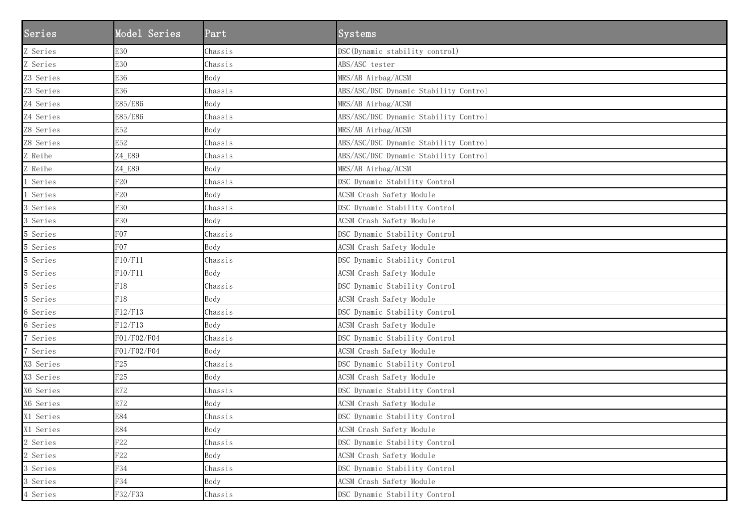| Series    | Model Series    | Part    | Systems                               |
|-----------|-----------------|---------|---------------------------------------|
| Z Series  | E30             | Chassis | DSC (Dynamic stability control)       |
| Z Series  | E30             | Chassis | ABS/ASC tester                        |
| Z3 Series | E36             | Body    | MRS/AB Airbag/ACSM                    |
| Z3 Series | E36             | Chassis | ABS/ASC/DSC Dynamic Stability Control |
| Z4 Series | E85/E86         | Body    | MRS/AB Airbag/ACSM                    |
| Z4 Series | E85/E86         | Chassis | ABS/ASC/DSC Dynamic Stability Control |
| Z8 Series | E52             | Body    | MRS/AB Airbag/ACSM                    |
| Z8 Series | E52             | Chassis | ABS/ASC/DSC Dynamic Stability Control |
| Z Reihe   | Z4_E89          | Chassis | ABS/ASC/DSC Dynamic Stability Control |
| Z Reihe   | Z4_E89          | Body    | MRS/AB Airbag/ACSM                    |
| Series    | F <sub>20</sub> | Chassis | DSC Dynamic Stability Control         |
| Series    | F <sub>20</sub> | Body    | ACSM Crash Safety Module              |
| 3 Series  | F30             | Chassis | DSC Dynamic Stability Control         |
| 3 Series  | F30             | Body    | ACSM Crash Safety Module              |
| 5 Series  | <b>F07</b>      | Chassis | DSC Dynamic Stability Control         |
| 5 Series  | <b>F07</b>      | Body    | ACSM Crash Safety Module              |
| 5 Series  | F10/F11         | Chassis | DSC Dynamic Stability Control         |
| 5 Series  | F10/F11         | Body    | ACSM Crash Safety Module              |
| 5 Series  | F18             | Chassis | DSC Dynamic Stability Control         |
| 5 Series  | F18             | Body    | ACSM Crash Safety Module              |
| 6 Series  | F12/F13         | Chassis | DSC Dynamic Stability Control         |
| 6 Series  | F12/F13         | Body    | ACSM Crash Safety Module              |
| Series    | F01/F02/F04     | Chassis | DSC Dynamic Stability Control         |
| Series    | F01/F02/F04     | Body    | ACSM Crash Safety Module              |
| X3 Series | F25             | Chassis | DSC Dynamic Stability Control         |
| X3 Series | F25             | Body    | ACSM Crash Safety Module              |
| X6 Series | E72             | Chassis | DSC Dynamic Stability Control         |
| X6 Series | E72             | Body    | ACSM Crash Safety Module              |
| X1 Series | E84             | Chassis | DSC Dynamic Stability Control         |
| X1 Series | E84             | Body    | ACSM Crash Safety Module              |
| 2 Series  | ${\rm F}22$     | Chassis | DSC Dynamic Stability Control         |
| 2 Series  | F22             | Body    | ACSM Crash Safety Module              |
| 3 Series  | F34             | Chassis | DSC Dynamic Stability Control         |
| 3 Series  | F34             | Body    | ACSM Crash Safety Module              |
| 4 Series  | F32/F33         | Chassis | DSC Dynamic Stability Control         |